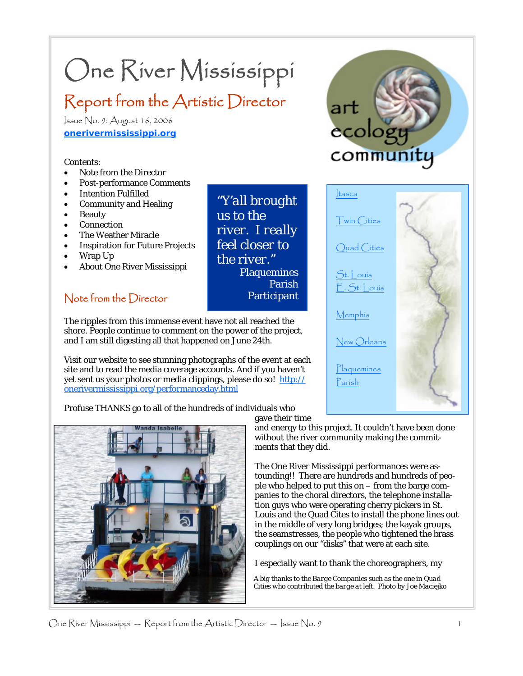# One River Mississippi

## Report from the Artistic Director

Issue No. 9: August 16, 2006 **onerivermississippi.org**

#### Contents:

- Note from the Director
- Post-performance Comments
- **Intention Fulfilled**
- Community and Healing
- **Beauty**
- **Connection**
- The Weather Miracle
- Inspiration for Future Projects
- Wrap Up
- About One River Mississippi

#### Note from the Director

The ripples from this immense event have not all reached the shore. People continue to comment on the power of the project, **Participant** 

Visit our website to see stunning photographs of the event at each site and to read the media coverage accounts. And if you haven't yet sent us your photos or media clippings, please do so! http:// onerivermississippi.org/performanceday.html

and I am still digesting all that happened on June 24th.

Profuse THANKS go to all of the hundreds of individuals who







gave their time

*"Y'all brought* 

*river. I really feel closer to the river."* 

**Plaquemines** 

Parish

*us to the* 

and energy to this project. It couldn't have been done without the river community making the commitments that they did.

The One River Mississippi performances were astounding!! There are hundreds and hundreds of people who helped to put this on – from the barge companies to the choral directors, the telephone installation guys who were operating cherry pickers in St. Louis and the Quad Cites to install the phone lines out in the middle of very long bridges; the kayak groups, the seamstresses, the people who tightened the brass couplings on our "disks" that were at each site.

I especially want to thank the choreographers, my

*A big thanks to the Barge Companies such as the one in Quad Cities who contributed the barge at left. Photo by Joe Maciejko*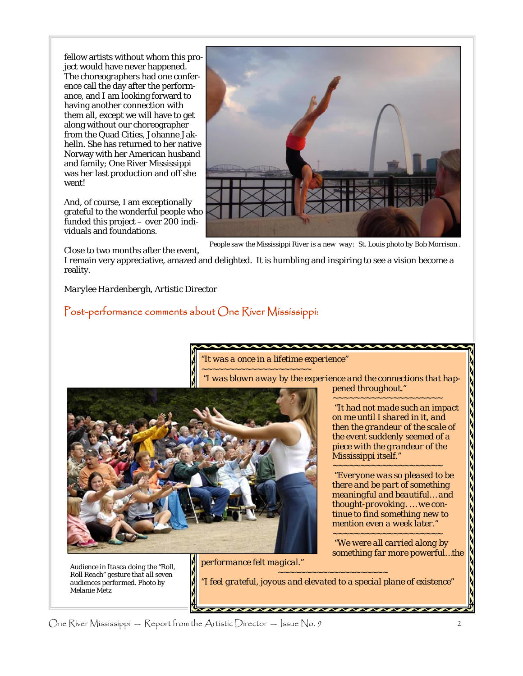fellow artists without whom this project would have never happened. The choreographers had one conference call the day after the performance, and I am looking forward to having another connection with them all, except we will have to get along without our choreographer from the Quad Cities, Johanne Jakhelln. She has returned to her native Norway with her American husband and family; One River Mississippi was her last production and off she went!

And, of course, I am exceptionally grateful to the wonderful people who funded this project – over 200 individuals and foundations.



*People saw the Mississippi River is a new way: St. Louis photo by Bob Morrison .* 

Close to two months after the event,

I remain very appreciative, amazed and delighted. It is humbling and inspiring to see a vision become a reality.

*Marylee Hardenbergh, Artistic Director* 

#### Post-performance comments about One River Mississippi:

*"It was a once in a lifetime experience"* 

*~~~~~~~~~~~~~~~~~~~~ "I was blown away by the experience and the connections that happened throughout."* 



 *"It had not made such an impact on me until I shared in it, and then the grandeur of the scale of the event suddenly seemed of a piece with the grandeur of the Mississippi itself."* 

*~~~~~~~~~~~~~~~~~~~~* 

*~~~~~~~~~~~~~~~~~~~~ "Everyone was so pleased to be there and be part of something meaningful and beautiful… and thought-provoking. … we continue to find something new to mention even a week later." ~~~~~~~~~~~~~~~~~~~~* 

 *"We were all carried along by something far more powerful…the* 

*Audience in Itasca doing the "Roll, Roll Reach" gesture that all seven audiences performed. Photo by Melanie Metz* 

*performance felt magical." ~~~~~~~~~~~~~~~~~~~~* 

*"I feel grateful, joyous and elevated to a special plane of existence"* 

One River Mississippi — Report from the Artistic Director — Issue No. 9  $\,$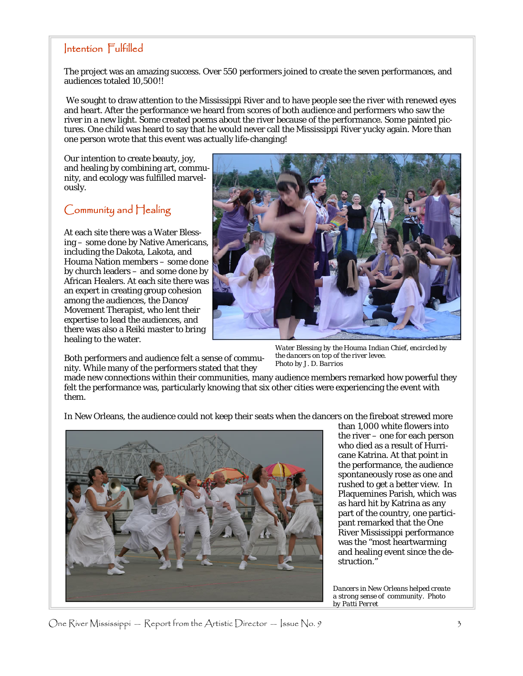#### Intention Fulfilled

The project was an amazing success. Over 550 performers joined to create the seven performances, and audiences totaled 10,500!!

 We sought to draw attention to the Mississippi River and to have people see the river with renewed eyes and heart. After the performance we heard from scores of both audience and performers who saw the river in a new light. Some created poems about the river because of the performance. Some painted pictures. One child was heard to say that he would never call the Mississippi River yucky again. More than one person wrote that this event was actually life-changing!

Our intention to create beauty, joy, and healing by combining art, community, and ecology was fulfilled marvelously.

#### Community and Healing

At each site there was a Water Blessing – some done by Native Americans, including the Dakota, Lakota, and Houma Nation members – some done by church leaders – and some done by African Healers. At each site there was an expert in creating group cohesion among the audiences, the Dance/ Movement Therapist, who lent their expertise to lead the audiences, and there was also a Reiki master to bring healing to the water.



Both performers and audience felt a sense of community. While many of the performers stated that they

*Water Blessing by the Houma Indian Chief, encircled by the dancers on top of the river levee. Photo by J. D. Barrios* 

made new connections within their communities, many audience members remarked how powerful they felt the performance was, particularly knowing that six other cities were experiencing the event with them.

In New Orleans, the audience could not keep their seats when the dancers on the fireboat strewed more



than 1,000 white flowers into the river – one for each person who died as a result of Hurricane Katrina. At that point in the performance, the audience spontaneously rose as one and rushed to get a better view. In Plaquemines Parish, which was as hard hit by Katrina as any part of the country, one participant remarked that the One River Mississippi performance was the "most heartwarming and healing event since the destruction."

*Dancers in New Orleans helped create a strong sense of community. Photo by Patti Perret* 

One River Mississippi — Report from the Artistic Director — Issue No. 9  $\frac{1}{3}$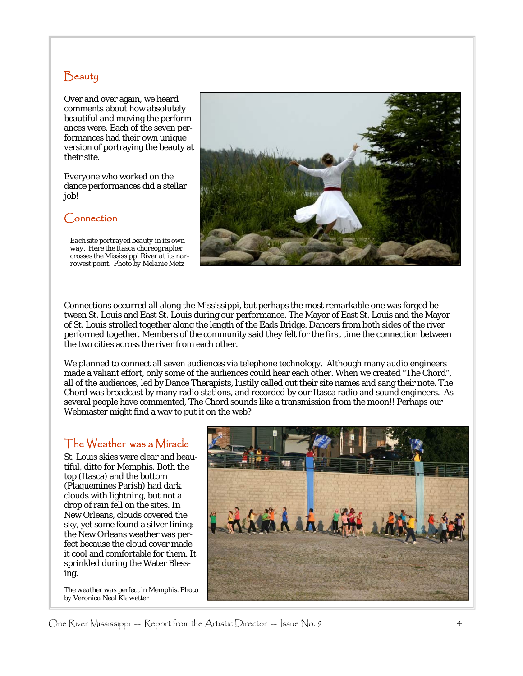#### **Beauty**

Over and over again, we heard comments about how absolutely beautiful and moving the performances were. Each of the seven performances had their own unique version of portraying the beauty at their site.

Everyone who worked on the dance performances did a stellar job!

#### Connection

*Each site portrayed beauty in its own way. Here the Itasca choreographer crosses the Mississippi River at its narrowest point. Photo by Melanie Metz* 



Connections occurred all along the Mississippi, but perhaps the most remarkable one was forged between St. Louis and East St. Louis during our performance. The Mayor of East St. Louis and the Mayor of St. Louis strolled together along the length of the Eads Bridge. Dancers from both sides of the river performed together. Members of the community said they felt for the first time the connection between the two cities across the river from each other.

We planned to connect all seven audiences via telephone technology. Although many audio engineers made a valiant effort, only some of the audiences could hear each other. When we created "The Chord", all of the audiences, led by Dance Therapists, lustily called out their site names and sang their note. The Chord was broadcast by many radio stations, and recorded by our Itasca radio and sound engineers. As several people have commented, The Chord sounds like a transmission from the moon!! Perhaps our Webmaster might find a way to put it on the web?

#### The Weather was a Miracle

St. Louis skies were clear and beautiful, ditto for Memphis. Both the top (Itasca) and the bottom (Plaquemines Parish) had dark clouds with lightning, but not a drop of rain fell on the sites. In New Orleans, clouds covered the sky, yet some found a silver lining: the New Orleans weather was perfect because the cloud cover made it cool and comfortable for them. It sprinkled during the Water Blessing.

*The weather was perfect in Memphis. Photo by Veronica Neal Klawetter* 



One River Mississippi — Report from the Artistic Director — Issue No. 9  $\,$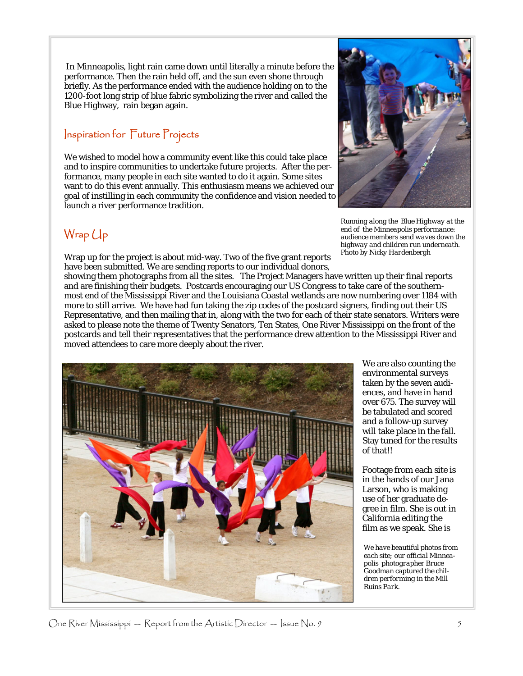In Minneapolis, light rain came down until literally a minute before the performance. Then the rain held off, and the sun even shone through briefly. As the performance ended with the audience holding on to the 1200-foot long strip of blue fabric symbolizing the river and called the Blue Highway, rain began again.

#### Inspiration for Future Projects

We wished to model how a community event like this could take place and to inspire communities to undertake future projects. After the performance, many people in each site wanted to do it again. Some sites want to do this event annually. This enthusiasm means we achieved our goal of instilling in each community the confidence and vision needed to launch a river performance tradition.

### Wrap Up

Wrap up for the project is about mid-way. Two of the five grant reports have been submitted. We are sending reports to our individual donors,

*Running along the Blue Highway at the end of the Minneapolis performance: audience members send waves down the highway and children run underneath. Photo by Nicky Hardenbergh* 

showing them photographs from all the sites. The Project Managers have written up their final reports and are finishing their budgets. Postcards encouraging our US Congress to take care of the southernmost end of the Mississippi River and the Louisiana Coastal wetlands are now numbering over 1184 with more to still arrive. We have had fun taking the zip codes of the postcard signers, finding out their US Representative, and then mailing that in, along with the two for each of their state senators. Writers were asked to please note the theme of Twenty Senators, Ten States, One River Mississippi on the front of the postcards and tell their representatives that the performance drew attention to the Mississippi River and moved attendees to care more deeply about the river.



We are also counting the environmental surveys taken by the seven audiences, and have in hand over 675. The survey will be tabulated and scored and a follow-up survey will take place in the fall. Stay tuned for the results of that!!

Footage from each site is in the hands of our Jana Larson, who is making use of her graduate degree in film. She is out in California editing the film as we speak. She is

*We have beautiful photos from each site; our official Minneapolis photographer Bruce Goodman captured the children performing in the Mill Ruins Park.*